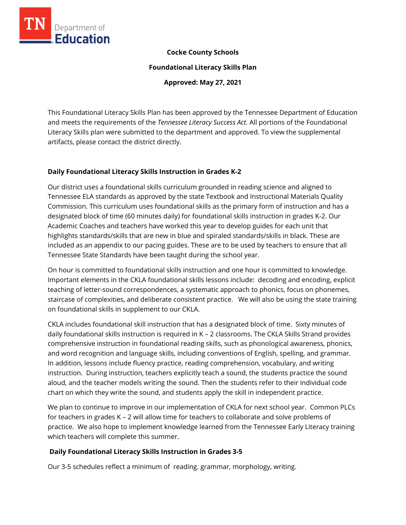

### **Cocke County Schools**

**Foundational Literacy Skills Plan**

**Approved: May 27, 2021**

This Foundational Literacy Skills Plan has been approved by the Tennessee Department of Education and meets the requirements of the *Tennessee Literacy Success Act.* All portions of the Foundational Literacy Skills plan were submitted to the department and approved. To view the supplemental artifacts, please contact the district directly.

#### **Daily Foundational Literacy Skills Instruction in Grades K-2**

Our district uses a foundational skills curriculum grounded in reading science and aligned to Tennessee ELA standards as approved by the state Textbook and Instructional Materials Quality Commission. This curriculum uses foundational skills as the primary form of instruction and has a designated block of time (60 minutes daily) for foundational skills instruction in grades K-2. Our Academic Coaches and teachers have worked this year to develop guides for each unit that highlights standards/skills that are new in blue and spiraled standards/skills in black. These are included as an appendix to our pacing guides. These are to be used by teachers to ensure that all Tennessee State Standards have been taught during the school year.

On hour is committed to foundational skills instruction and one hour is committed to knowledge. Important elements in the CKLA foundational skills lessons include: decoding and encoding, explicit teaching of letter-sound correspondences, a systematic approach to phonics, focus on phonemes, staircase of complexities, and deliberate consistent practice. We will also be using the state training on foundational skills in supplement to our CKLA.

CKLA includes foundational skill instruction that has a designated block of time. Sixty minutes of daily foundational skills instruction is required in K – 2 classrooms. The CKLA Skills Strand provides comprehensive instruction in foundational reading skills, such as phonological awareness, phonics, and word recognition and language skills, including conventions of English, spelling, and grammar. In addition, lessons include fluency practice, reading comprehension, vocabulary, and writing instruction. During instruction, teachers explicitly teach a sound, the students practice the sound aloud, and the teacher models writing the sound. Then the students refer to their individual code chart on which they write the sound, and students apply the skill in independent practice.

We plan to continue to improve in our implementation of CKLA for next school year. Common PLCs for teachers in grades K – 2 will allow time for teachers to collaborate and solve problems of practice. We also hope to implement knowledge learned from the Tennessee Early Literacy training which teachers will complete this summer.

# **Daily Foundational Literacy Skills Instruction in Grades 3-5**

Our 3-5 schedules reflect a minimum of reading. grammar, morphology, writing.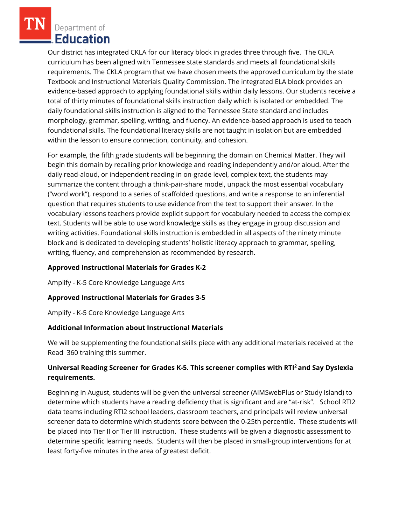Department of **Education** 

Our district has integrated CKLA for our literacy block in grades three through five. The CKLA curriculum has been aligned with Tennessee state standards and meets all foundational skills requirements. The CKLA program that we have chosen meets the approved curriculum by the state Textbook and Instructional Materials Quality Commission. The integrated ELA block provides an evidence-based approach to applying foundational skills within daily lessons. Our students receive a total of thirty minutes of foundational skills instruction daily which is isolated or embedded. The daily foundational skills instruction is aligned to the Tennessee State standard and includes morphology, grammar, spelling, writing, and fluency. An evidence-based approach is used to teach foundational skills. The foundational literacy skills are not taught in isolation but are embedded within the lesson to ensure connection, continuity, and cohesion.

For example, the fifth grade students will be beginning the domain on Chemical Matter. They will begin this domain by recalling prior knowledge and reading independently and/or aloud. After the daily read-aloud, or independent reading in on-grade level, complex text, the students may summarize the content through a think-pair-share model, unpack the most essential vocabulary ("word work"), respond to a series of scaffolded questions, and write a response to an inferential question that requires students to use evidence from the text to support their answer. In the vocabulary lessons teachers provide explicit support for vocabulary needed to access the complex text. Students will be able to use word knowledge skills as they engage in group discussion and writing activities. Foundational skills instruction is embedded in all aspects of the ninety minute block and is dedicated to developing students' holistic literacy approach to grammar, spelling, writing, fluency, and comprehension as recommended by research.

#### **Approved Instructional Materials for Grades K-2**

Amplify - K-5 Core Knowledge Language Arts

# **Approved Instructional Materials for Grades 3-5**

Amplify - K-5 Core Knowledge Language Arts

#### **Additional Information about Instructional Materials**

We will be supplementing the foundational skills piece with any additional materials received at the Read 360 training this summer.

# **Universal Reading Screener for Grades K-5. This screener complies with RTI<sup>2</sup>and Say Dyslexia requirements.**

Beginning in August, students will be given the universal screener (AIMSwebPlus or Study Island) to determine which students have a reading deficiency that is significant and are "at-risk". School RTI2 data teams including RTI2 school leaders, classroom teachers, and principals will review universal screener data to determine which students score between the 0-25th percentile. These students will be placed into Tier II or Tier III instruction. These students will be given a diagnostic assessment to determine specific learning needs. Students will then be placed in small-group interventions for at least forty-five minutes in the area of greatest deficit.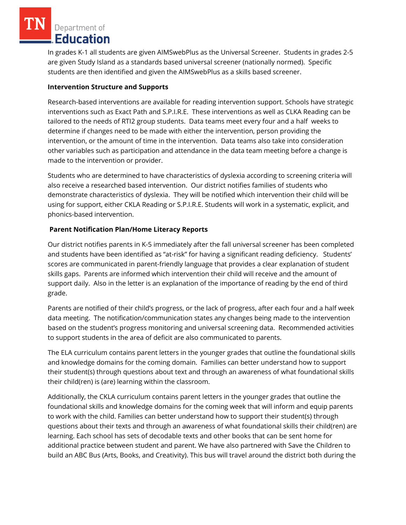Department of **Education** 

In grades K-1 all students are given AIMSwebPlus as the Universal Screener. Students in grades 2-5 are given Study Island as a standards based universal screener (nationally normed). Specific students are then identified and given the AIMSwebPlus as a skills based screener.

### **Intervention Structure and Supports**

Research-based interventions are available for reading intervention support. Schools have strategic interventions such as Exact Path and S.P.I.R.E. These interventions as well as CLKA Reading can be tailored to the needs of RTI2 group students. Data teams meet every four and a half weeks to determine if changes need to be made with either the intervention, person providing the intervention, or the amount of time in the intervention. Data teams also take into consideration other variables such as participation and attendance in the data team meeting before a change is made to the intervention or provider.

Students who are determined to have characteristics of dyslexia according to screening criteria will also receive a researched based intervention. Our district notifies families of students who demonstrate characteristics of dyslexia. They will be notified which intervention their child will be using for support, either CKLA Reading or S.P.I.R.E. Students will work in a systematic, explicit, and phonics-based intervention.

# **Parent Notification Plan/Home Literacy Reports**

Our district notifies parents in K-5 immediately after the fall universal screener has been completed and students have been identified as "at-risk" for having a significant reading deficiency. Students' scores are communicated in parent-friendly language that provides a clear explanation of student skills gaps. Parents are informed which intervention their child will receive and the amount of support daily. Also in the letter is an explanation of the importance of reading by the end of third grade.

Parents are notified of their child's progress, or the lack of progress, after each four and a half week data meeting. The notification/communication states any changes being made to the intervention based on the student's progress monitoring and universal screening data. Recommended activities to support students in the area of deficit are also communicated to parents.

The ELA curriculum contains parent letters in the younger grades that outline the foundational skills and knowledge domains for the coming domain. Families can better understand how to support their student(s) through questions about text and through an awareness of what foundational skills their child(ren) is (are) learning within the classroom.

Additionally, the CKLA curriculum contains parent letters in the younger grades that outline the foundational skills and knowledge domains for the coming week that will inform and equip parents to work with the child. Families can better understand how to support their student(s) through questions about their texts and through an awareness of what foundational skills their child(ren) are learning. Each school has sets of decodable texts and other books that can be sent home for additional practice between student and parent. We have also partnered with Save the Children to build an ABC Bus (Arts, Books, and Creativity). This bus will travel around the district both during the